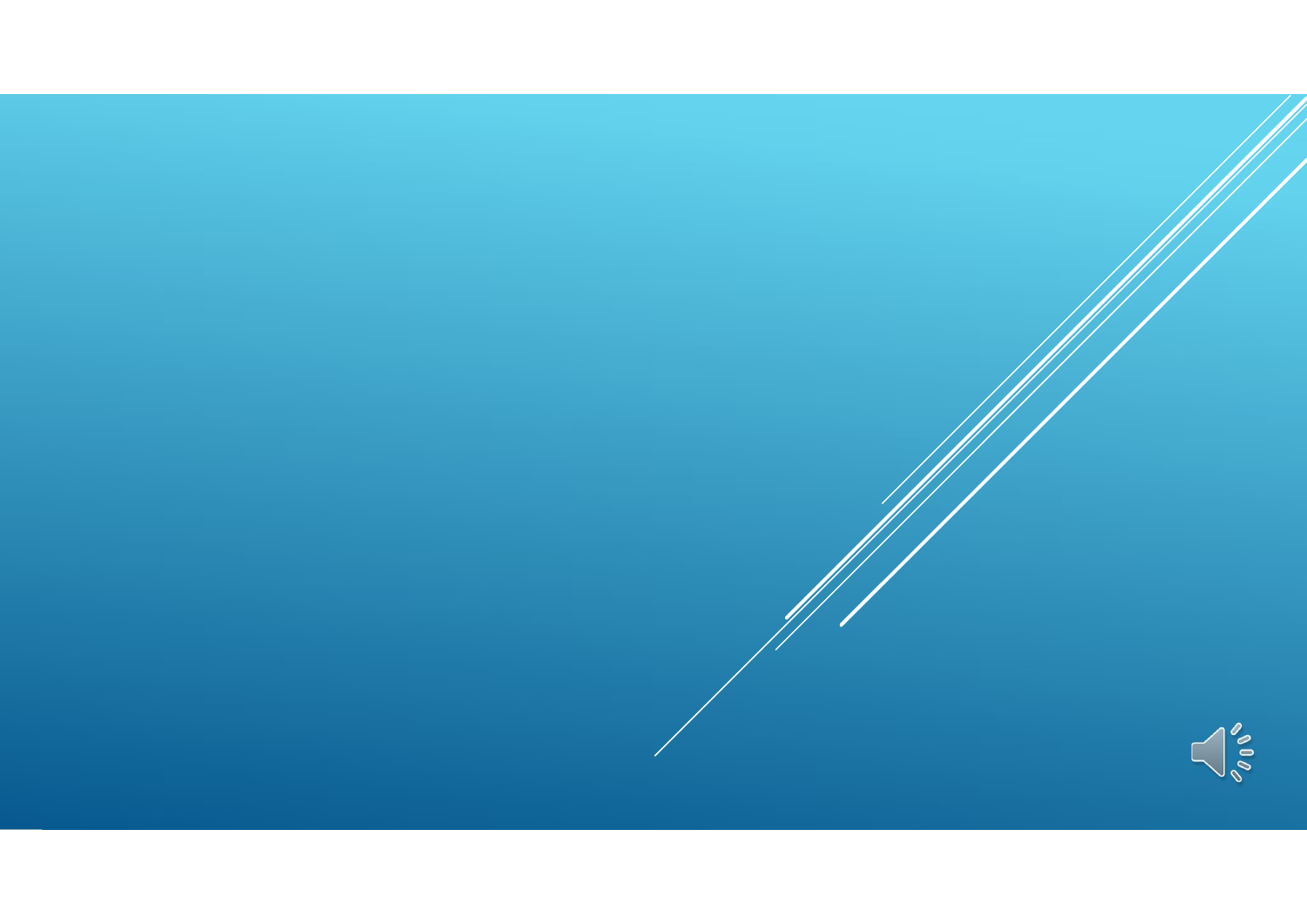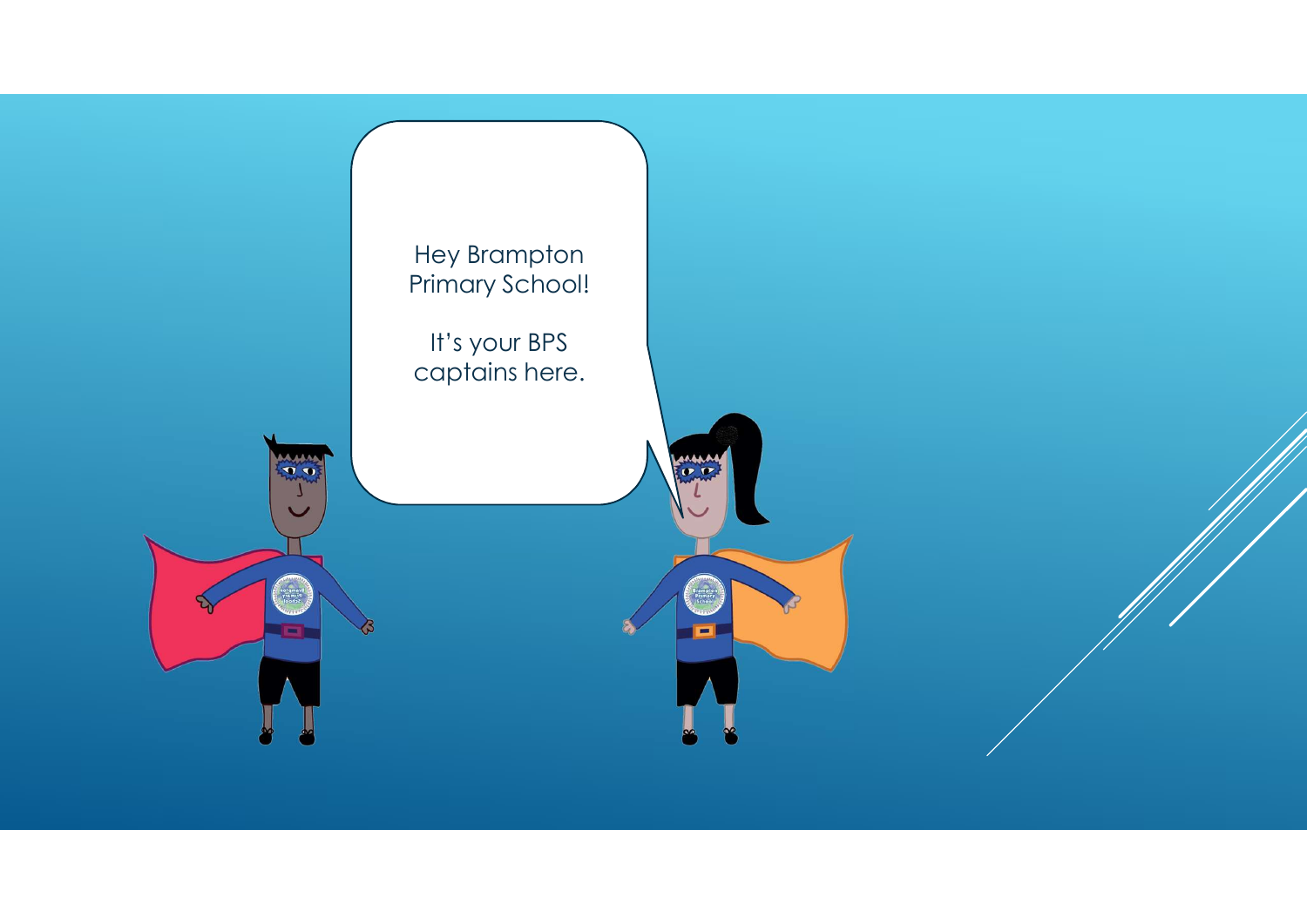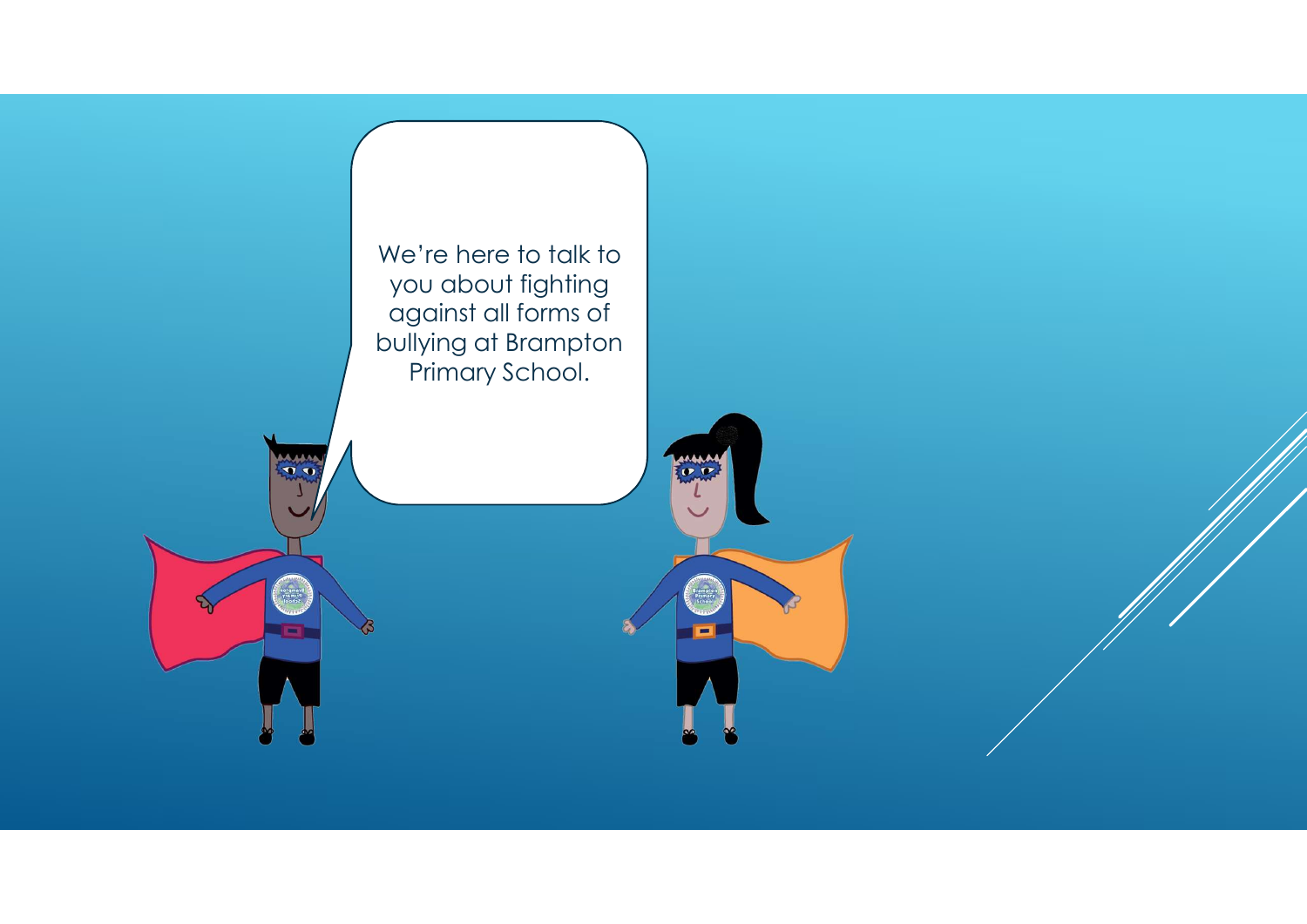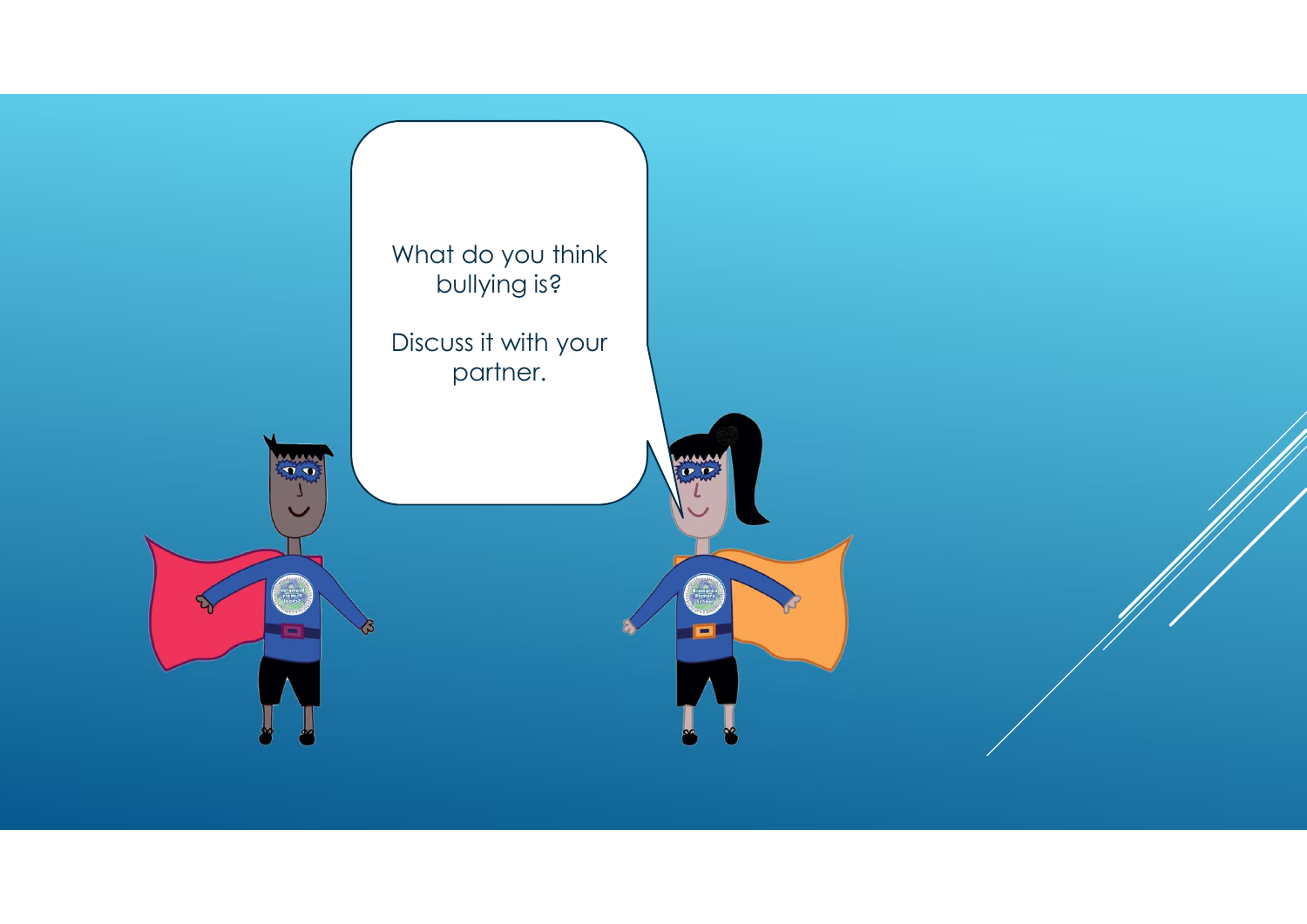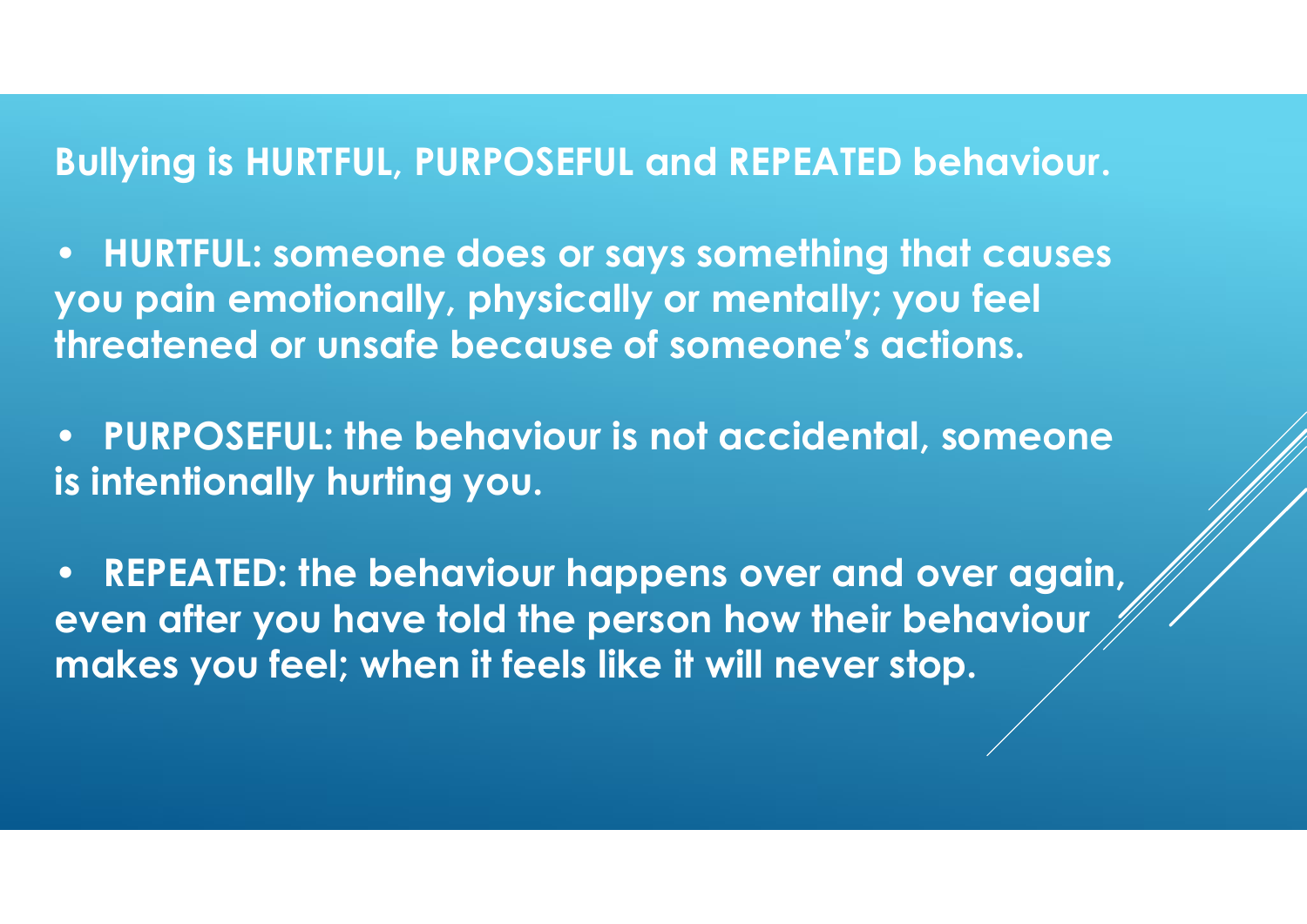## Bullying is HURTFUL, PURPOSEFUL and REPEATED behaviour.

Bullying is HURTFUL, PURPOSEFUL and REPEATED behaviour.<br>• HURTFUL: someone does or says something that causes<br>you pain emotionally, physically or mentally; you feel<br>threatened or unsafe because of someone's actions. you pain emotionally, physically or mentally; you feel threatened or unsafe because of someone's actions. |<br>| Bullying is HURTFUL, PURPOSEFUL and REPEATED behaviour.<br>| • HURTFUL: someone does or says something that causes<br>|<br>| purpose the behaviour is not accidental, someone<br>| • PURPOSEFUL: the behaviour is not accidental, some • HURTFUL: someone does or says something that causes<br>• HURTFUL: someone does or says something that causes<br>you pain emotionally, physically or mentally; you feel<br>threatened or unsafe because of someone's actions.<br>• PURPOS

is intentionally hurting you.

even after you have told the person how their behaviour makes you feel; when it feels like it will never stop.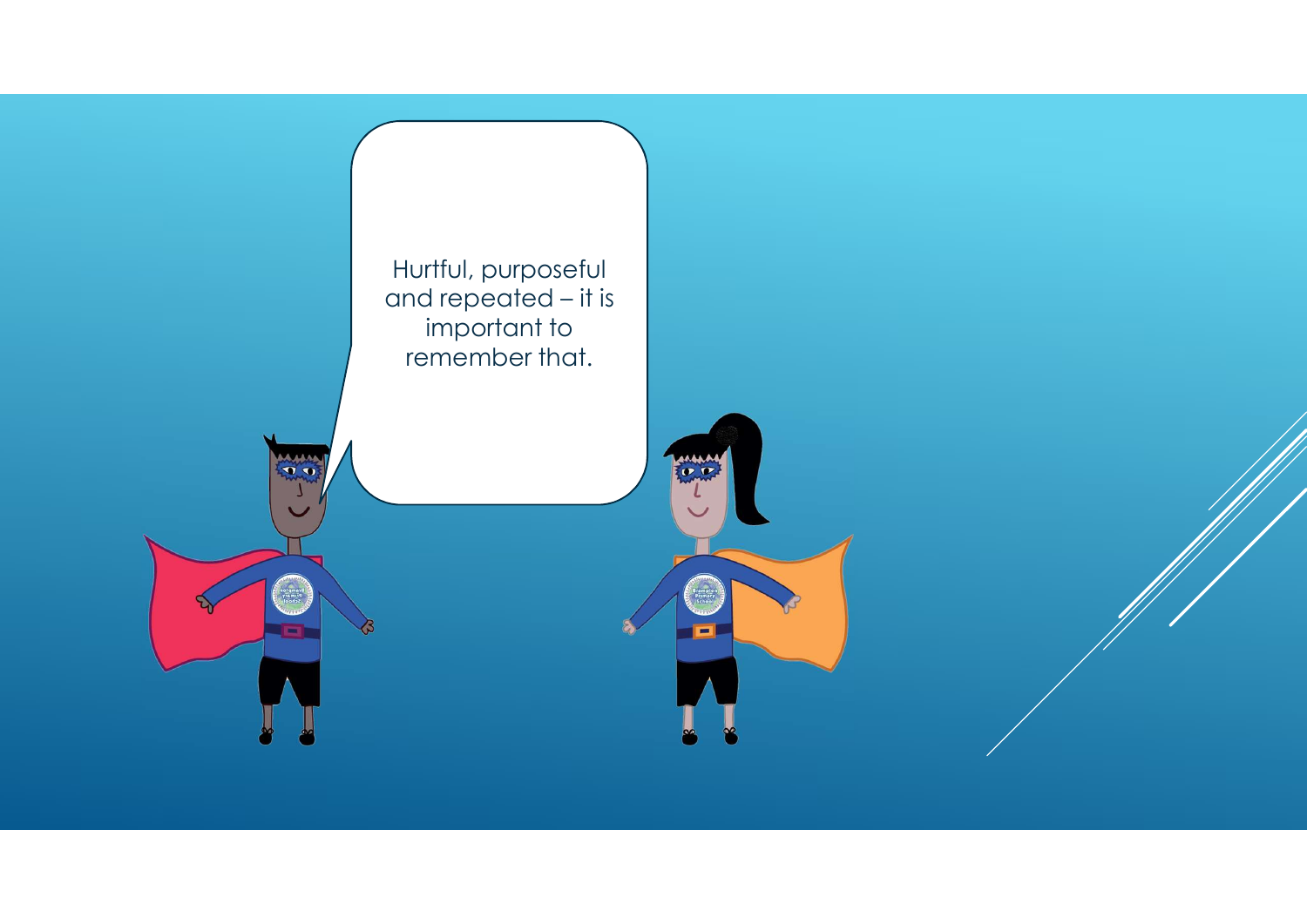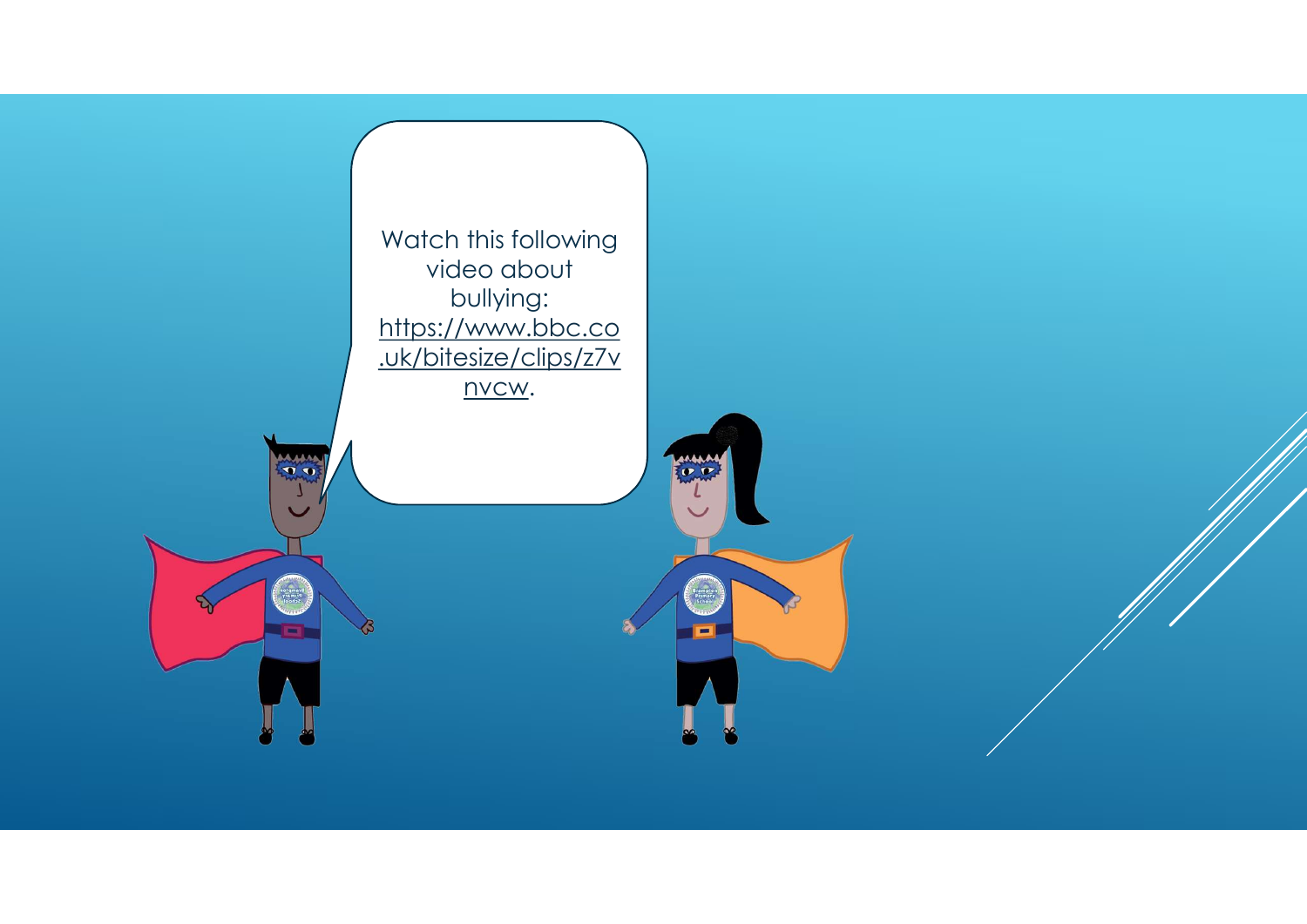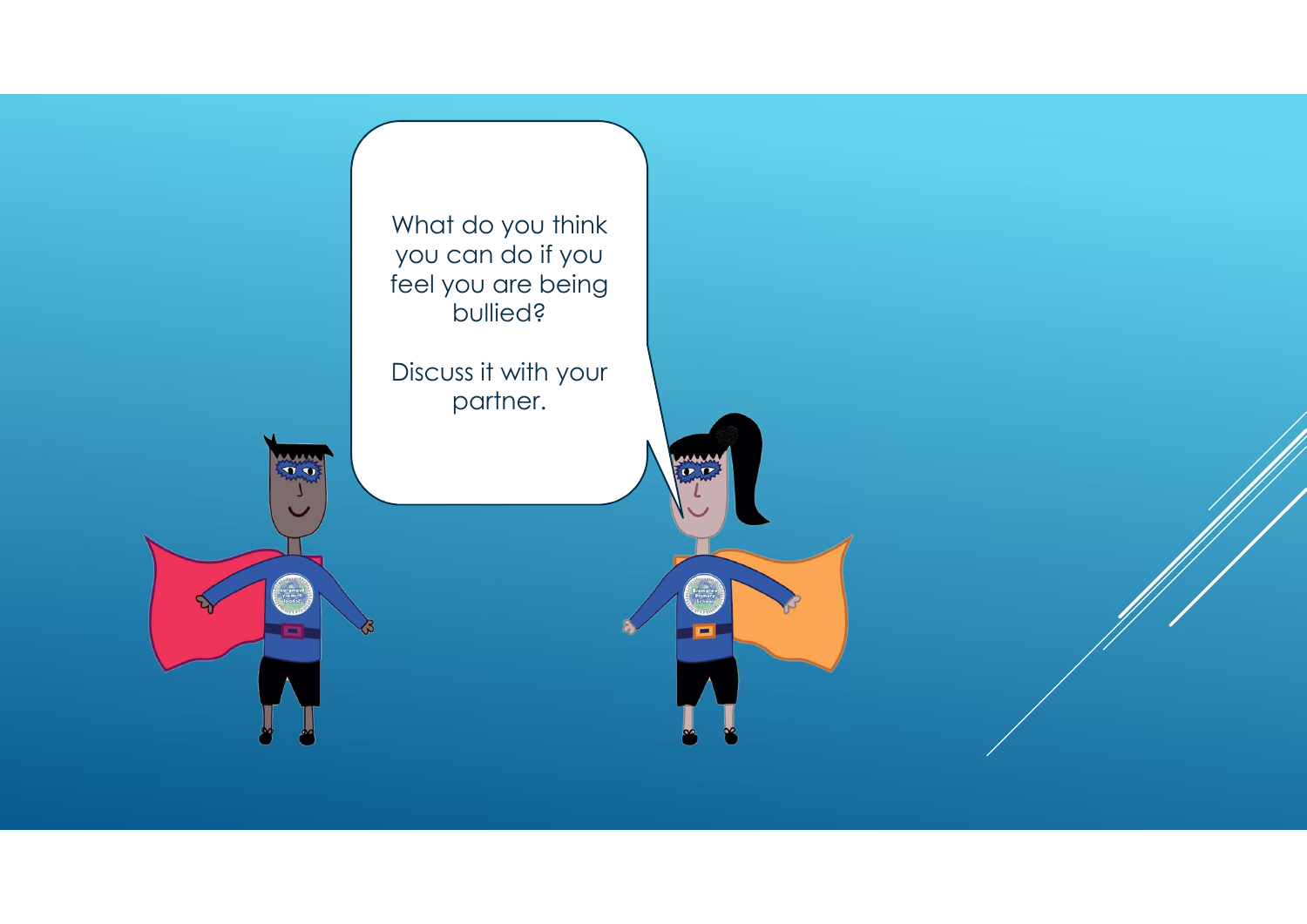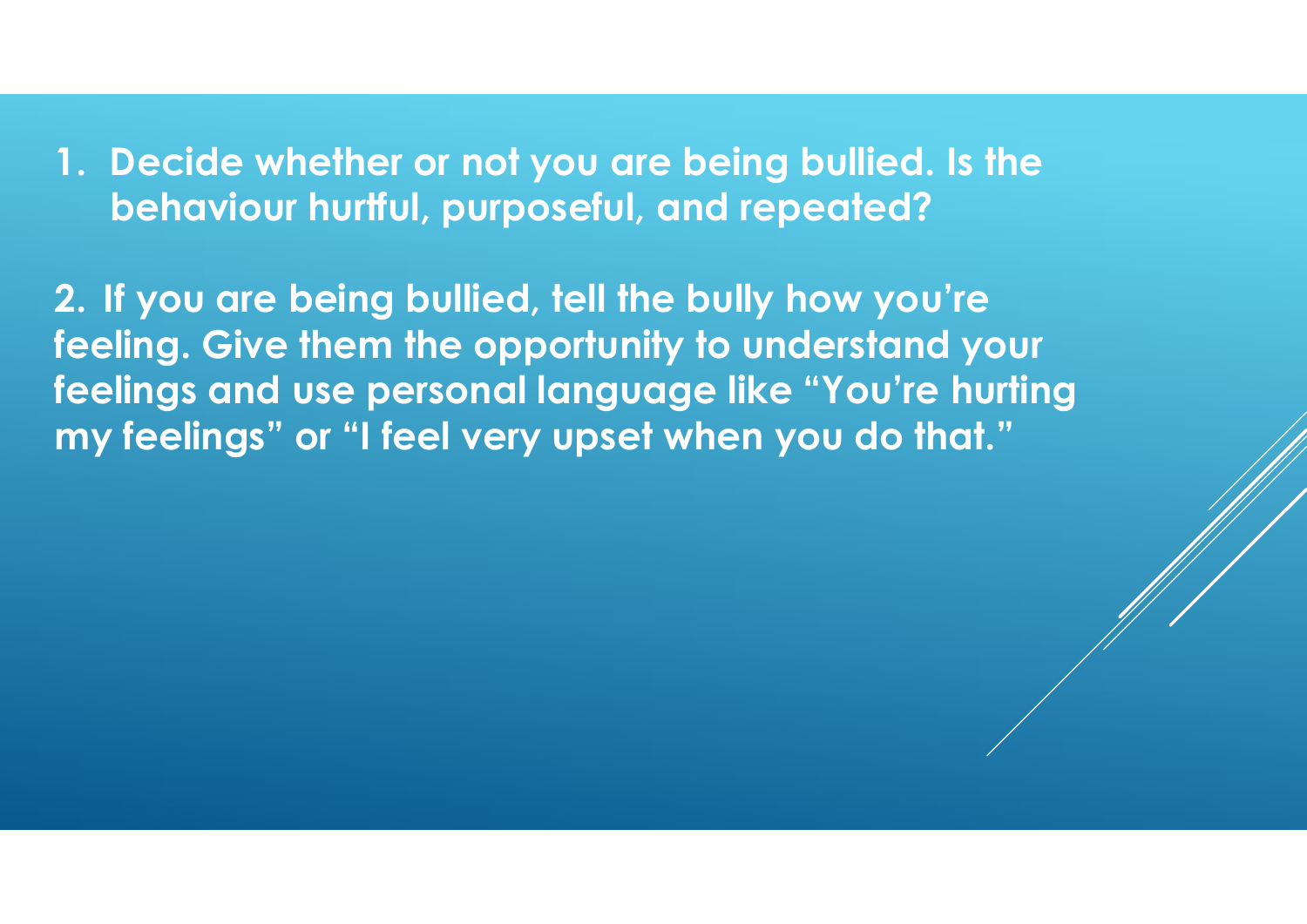1. Decide whether or not you are being bullied. Is the behaviour hurtful, purposeful, and repeated?

2. Decide whether or not you are being bullied. Is the<br>behaviour hurfful, purposeful, and repeated?<br>2. If you are being bullied, tell the bully how you're<br>feeling. Give them the opportunity to understand your<br>feelings and feeling. Give them the opportunity to understand your feelings and use personal language like "You're hurting my feelings" or "I feel very upset when you do that."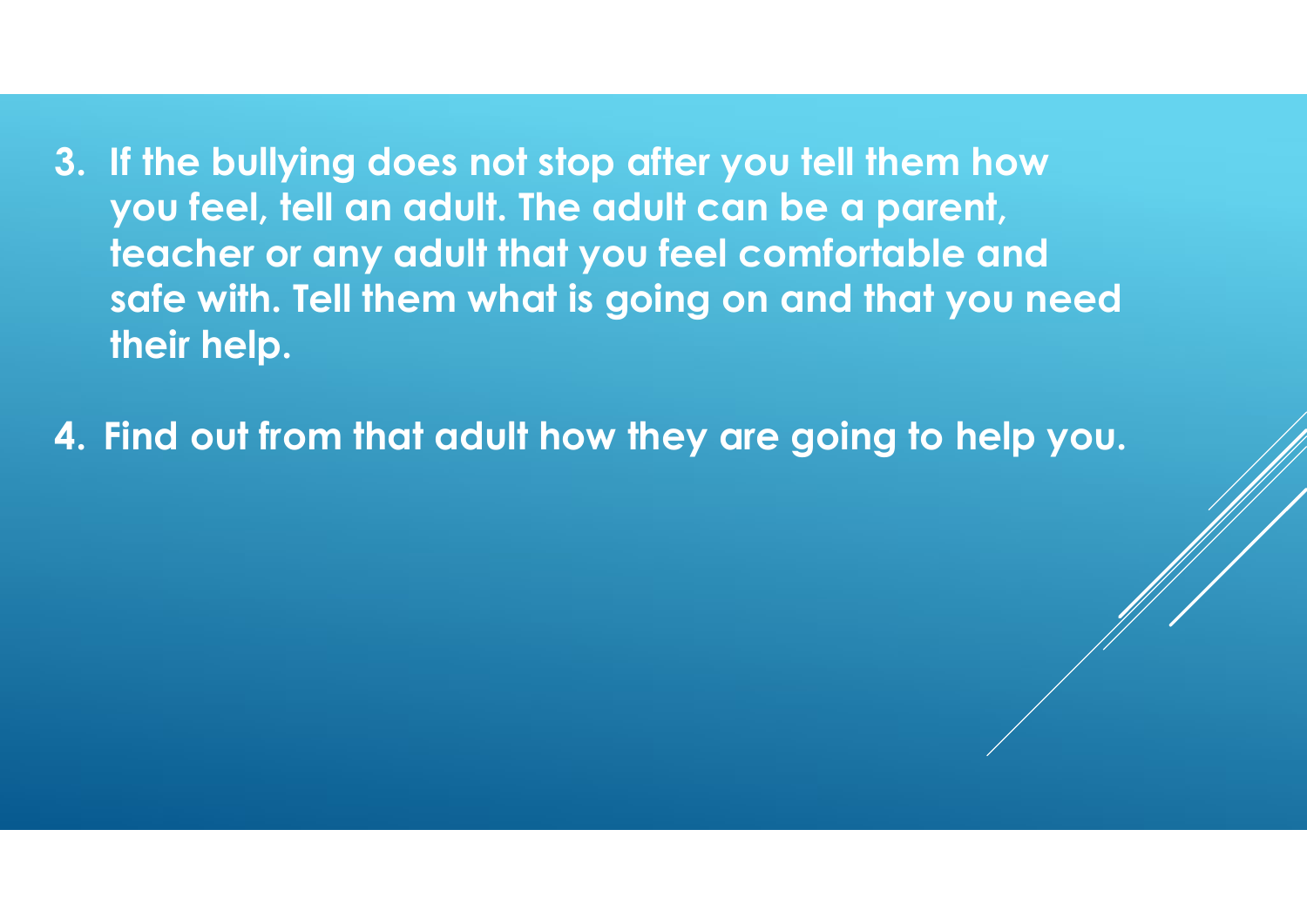- 3. If the bullying does not stop after you tell them how<br>you feel, tell an adult. The adult can be a parent,<br>teacher or any adult that you feel comfortable and you feel, tell an adult. The adult can be a parent, teacher or any adult that you feel comfortable and safe with. Tell them what is going on and that you need their help. 4. If the bullying does not stop after you tell them how<br>you feel, tell an adult. The adult can be a parent,<br>teacher or any adult that you feel comfortable and<br>safe with. Tell them what is going on and that you need<br>their
-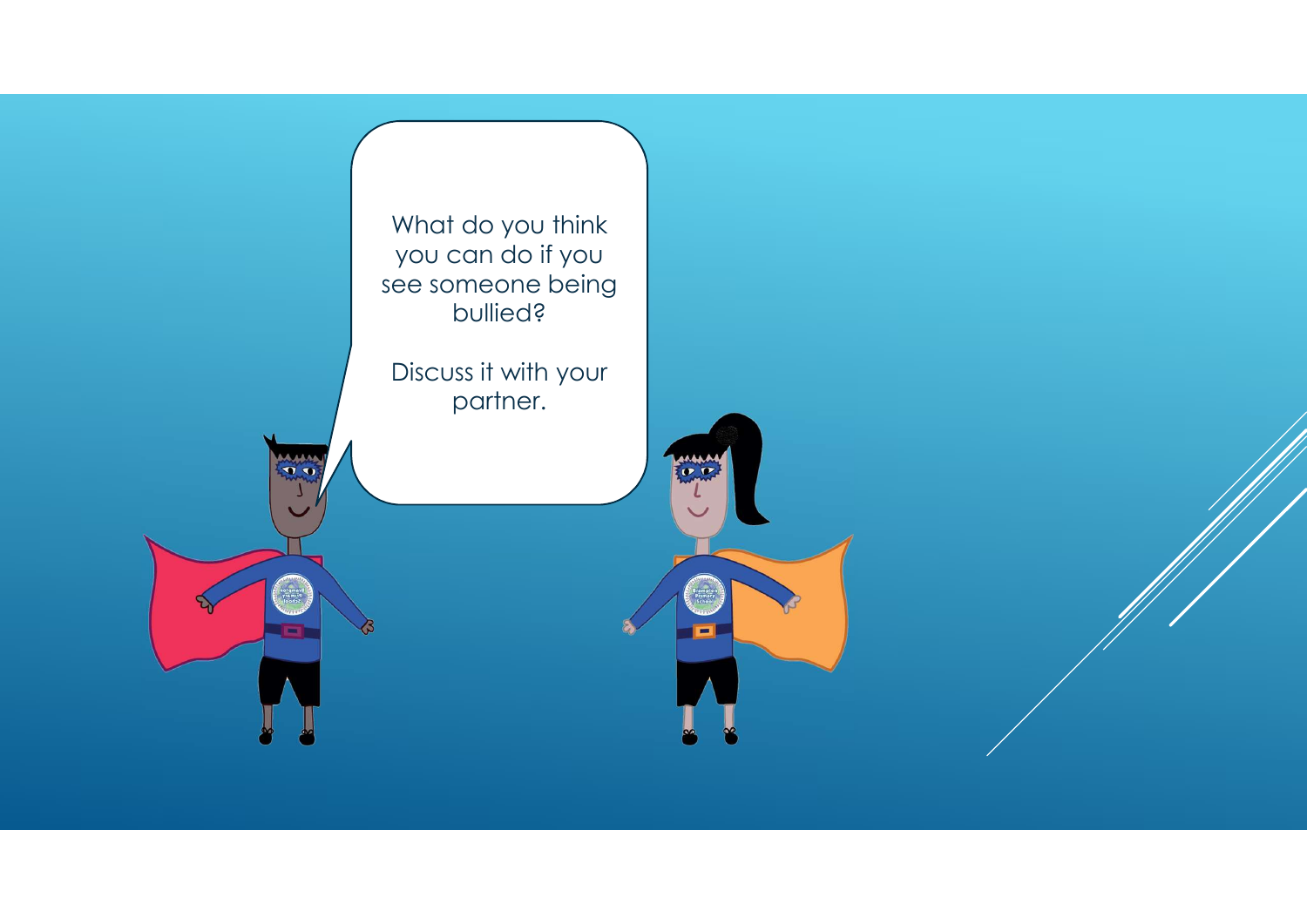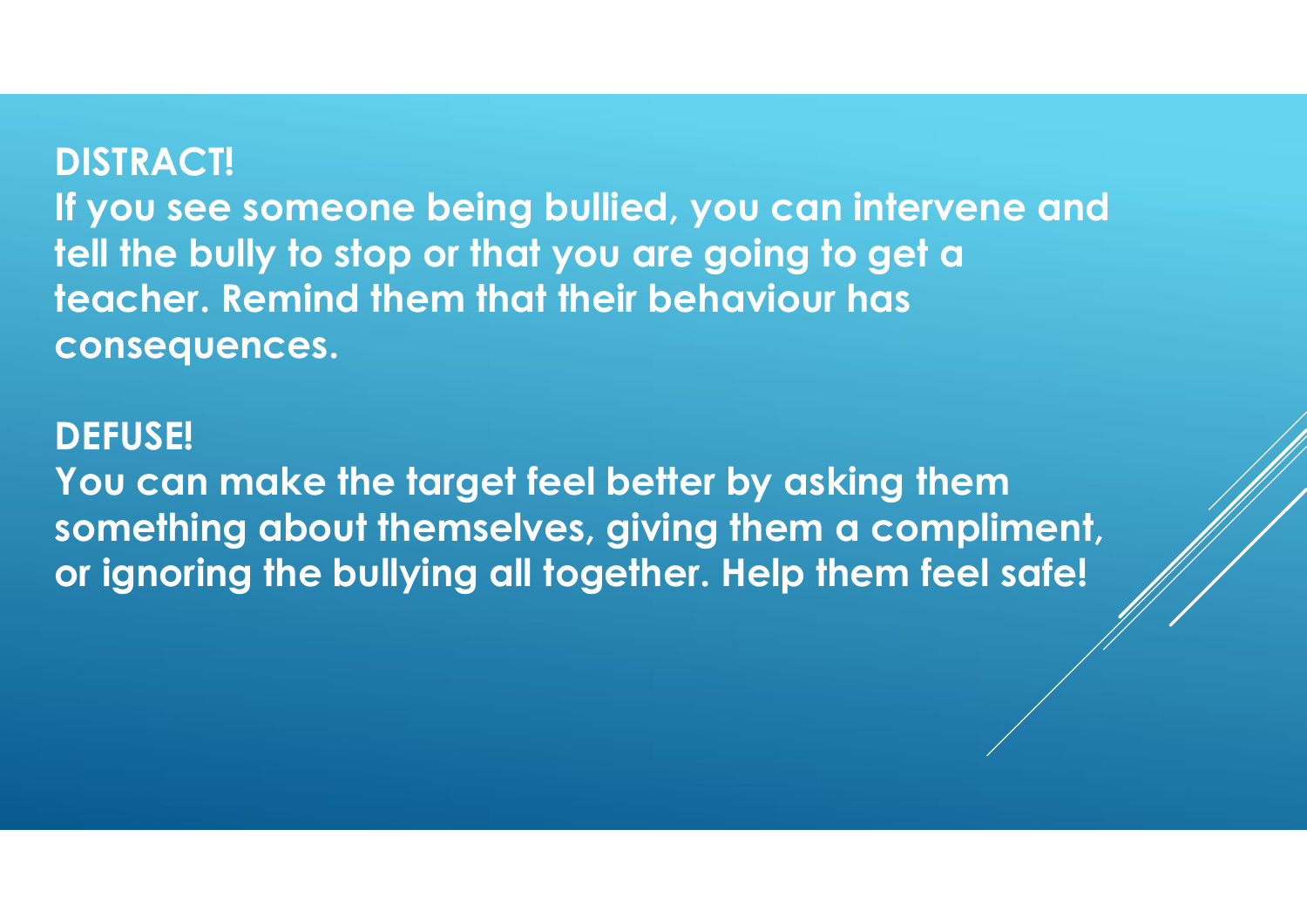## DISTRACT!

If you see someone being bullied, you can intervene and tell the bully to stop or that you are going to get a teacher. Remind them that their behaviour has consequences.

## DEFUSE!

You can make the target feel better by asking them something about themselves, giving them a compliment, or ignoring the bullying all together. Help them feel safe!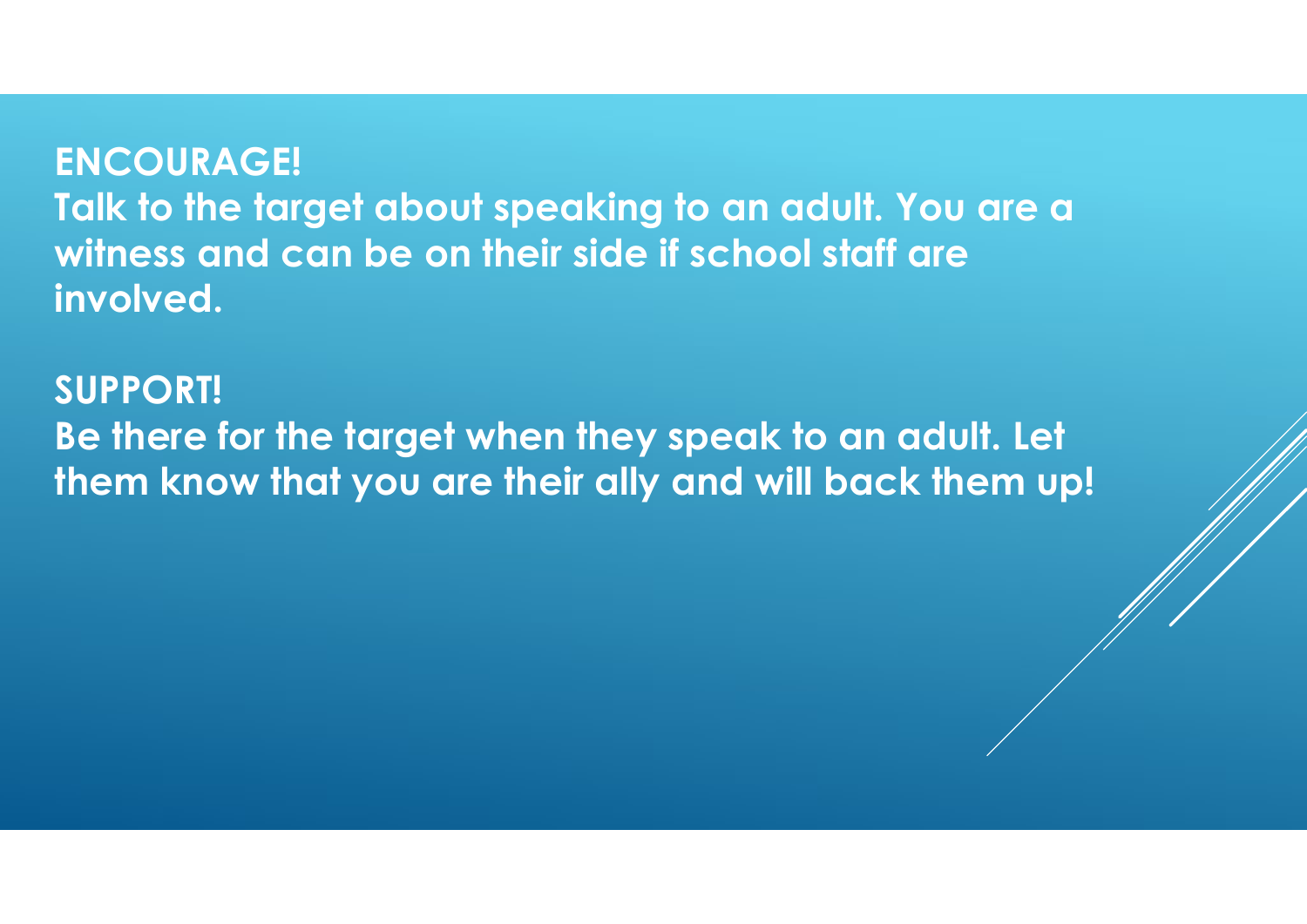ENCOURAGE! Talk to the target about speaking to an adult. You are a witness and can be on their side if school staff are involved.

SUPPORT! Be there for the target when they speak to an adult. Let them know that you are their ally and will back them up!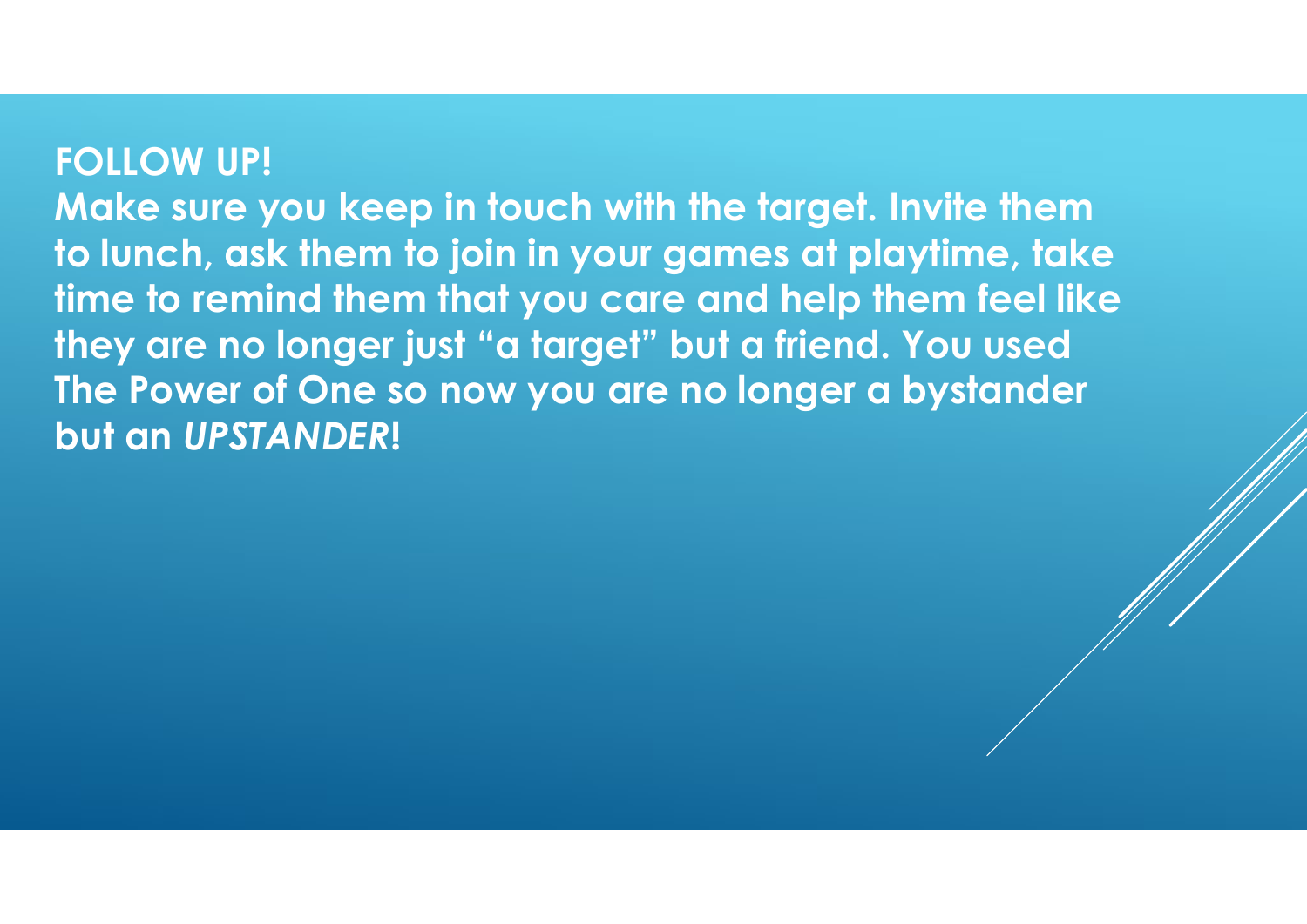## FOLLOW UP!

Make sure you keep in touch with the target. Invite them to lunch, ask them to join in your games at playtime, take time to remind them that you care and help them feel like they are no longer just "a target" but a friend. You used The Power of One so now you are no longer a bystander but an UPSTANDER!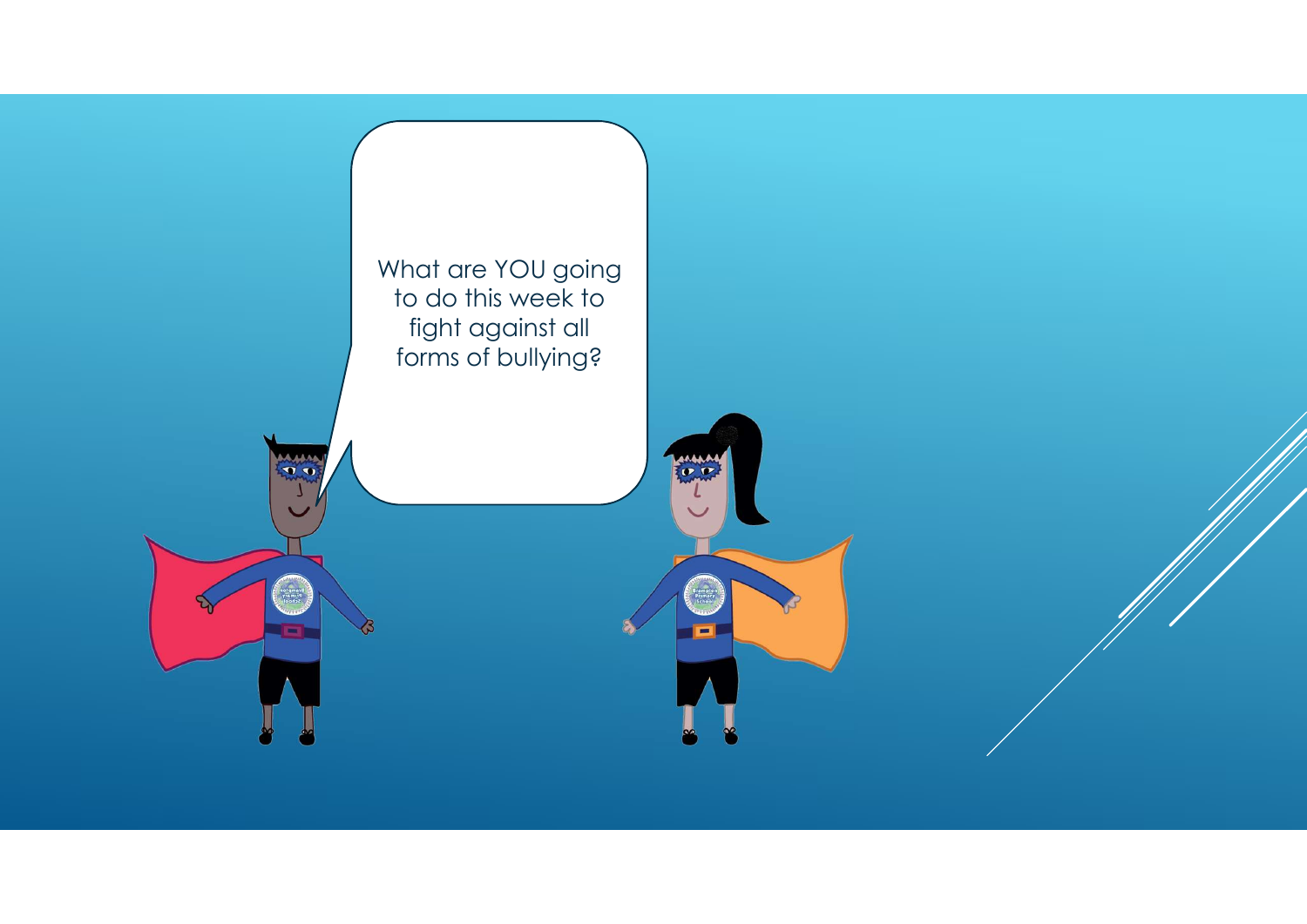